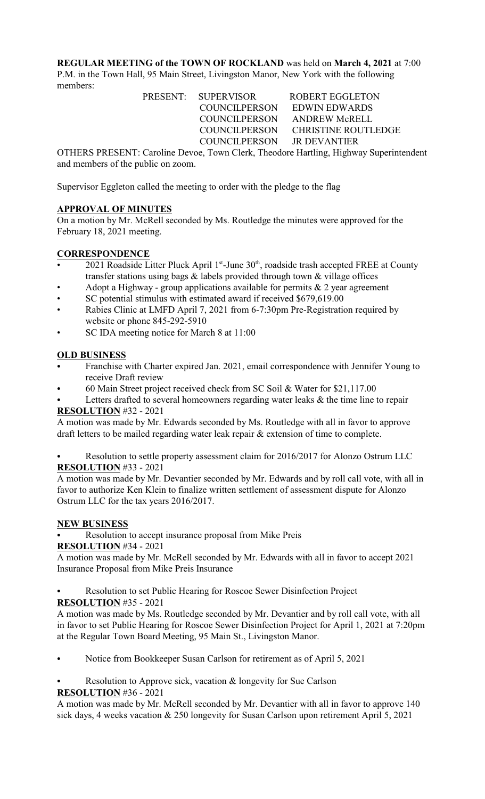**REGULAR MEETING of the TOWN OF ROCKLAND** was held on **March 4, 2021** at 7:00 P.M. in the Town Hall, 95 Main Street, Livingston Manor, New York with the following members:

> PRESENT: SUPERVISOR ROBERT EGGLETON COUNCILPERSON EDWIN EDWARDS COUNCILPERSON ANDREW McRELL COUNCILPERSON CHRISTINE ROUTLEDGE COUNCILPERSON JR DEVANTIER

OTHERS PRESENT: Caroline Devoe, Town Clerk, Theodore Hartling, Highway Superintendent and members of the public on zoom.

Supervisor Eggleton called the meeting to order with the pledge to the flag

# **APPROVAL OF MINUTES**

On a motion by Mr. McRell seconded by Ms. Routledge the minutes were approved for the February 18, 2021 meeting.

### **CORRESPONDENCE**

- 2021 Roadside Litter Pluck April  $1<sup>st</sup>$ -June  $30<sup>th</sup>$ , roadside trash accepted FREE at County transfer stations using bags  $\&$  labels provided through town  $\&$  village offices
- Adopt a Highway group applications available for permits  $\&$  2 year agreement
- SC potential stimulus with estimated award if received \$679,619.00
- Rabies Clinic at LMFD April 7, 2021 from 6-7:30pm Pre-Registration required by website or phone 845-292-5910
- SC IDA meeting notice for March 8 at 11:00

# **OLD BUSINESS**

- Franchise with Charter expired Jan. 2021, email correspondence with Jennifer Young to receive Draft review
- C 60 Main Street project received check from SC Soil & Water for \$21,117.00
- Letters drafted to several homeowners regarding water leaks  $\&$  the time line to repair **RESOLUTION** #32 - 2021

# A motion was made by Mr. Edwards seconded by Ms. Routledge with all in favor to approve draft letters to be mailed regarding water leak repair & extension of time to complete.

Resolution to settle property assessment claim for 2016/2017 for Alonzo Ostrum LLC **RESOLUTION** #33 - 2021

A motion was made by Mr. Devantier seconded by Mr. Edwards and by roll call vote, with all in favor to authorize Ken Klein to finalize written settlement of assessment dispute for Alonzo Ostrum LLC for the tax years 2016/2017.

# **NEW BUSINESS**

Resolution to accept insurance proposal from Mike Preis

# **RESOLUTION** #34 - 2021

A motion was made by Mr. McRell seconded by Mr. Edwards with all in favor to accept 2021 Insurance Proposal from Mike Preis Insurance

- Resolution to set Public Hearing for Roscoe Sewer Disinfection Project
- **RESOLUTION** #35 2021

A motion was made by Ms. Routledge seconded by Mr. Devantier and by roll call vote, with all in favor to set Public Hearing for Roscoe Sewer Disinfection Project for April 1, 2021 at 7:20pm at the Regular Town Board Meeting, 95 Main St., Livingston Manor.

- Notice from Bookkeeper Susan Carlson for retirement as of April 5, 2021
- Resolution to Approve sick, vacation & longevity for Sue Carlson **RESOLUTION** #36 - 2021

A motion was made by Mr. McRell seconded by Mr. Devantier with all in favor to approve 140 sick days, 4 weeks vacation & 250 longevity for Susan Carlson upon retirement April 5, 2021